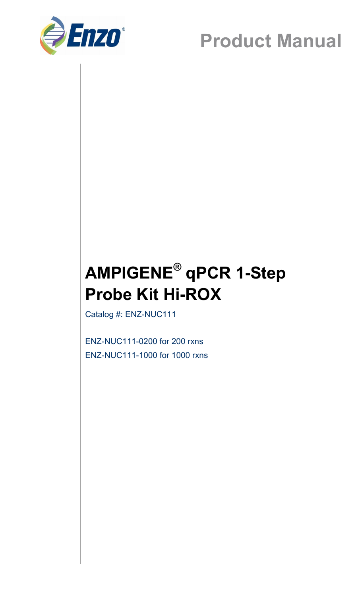

## **Product Manual**

## **AMPIGENE® qPCR 1-Step Probe Kit Hi-ROX**

Catalog #: ENZ-NUC111

ENZ-NUC111-0200 for 200 rxns ENZ-NUC111-1000 for 1000 rxns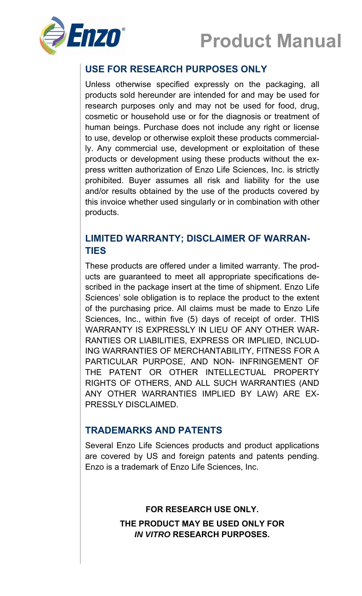



### **USE FOR RESEARCH PURPOSES ONLY**

Unless otherwise specified expressly on the packaging, all products sold hereunder are intended for and may be used for research purposes only and may not be used for food, drug, cosmetic or household use or for the diagnosis or treatment of human beings. Purchase does not include any right or license to use, develop or otherwise exploit these products commercially. Any commercial use, development or exploitation of these products or development using these products without the express written authorization of Enzo Life Sciences, Inc. is strictly prohibited. Buyer assumes all risk and liability for the use and/or results obtained by the use of the products covered by this invoice whether used singularly or in combination with other products.

#### **LIMITED WARRANTY; DISCLAIMER OF WARRAN-TIES**

These products are offered under a limited warranty. The products are guaranteed to meet all appropriate specifications described in the package insert at the time of shipment. Enzo Life Sciences' sole obligation is to replace the product to the extent of the purchasing price. All claims must be made to Enzo Life Sciences, Inc., within five (5) days of receipt of order. THIS WARRANTY IS EXPRESSLY IN LIEU OF ANY OTHER WAR-RANTIES OR LIABILITIES, EXPRESS OR IMPLIED, INCLUD-ING WARRANTIES OF MERCHANTABILITY, FITNESS FOR A PARTICULAR PURPOSE, AND NON- INFRINGEMENT OF THE PATENT OR OTHER INTELLECTUAL PROPERTY RIGHTS OF OTHERS, AND ALL SUCH WARRANTIES (AND ANY OTHER WARRANTIES IMPLIED BY LAW) ARE EX-PRESSLY DISCLAIMED.

#### **TRADEMARKS AND PATENTS**

Several Enzo Life Sciences products and product applications are covered by US and foreign patents and patents pending. Enzo is a trademark of Enzo Life Sciences, Inc.

> **FOR RESEARCH USE ONLY. THE PRODUCT MAY BE USED ONLY FOR**  *IN VITRO* **RESEARCH PURPOSES.**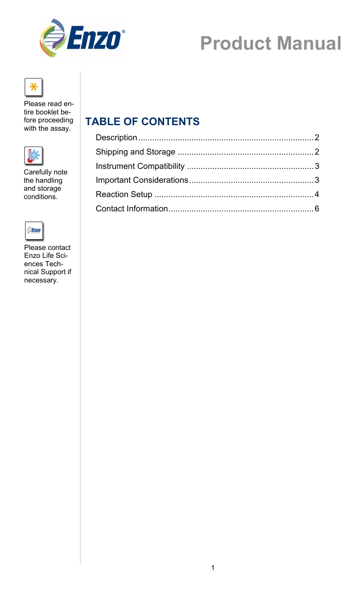

# **Product Manual**



Please read entire booklet before proceeding with the assay.



Carefully note the handling and storage conditions.



Please contact Enzo Life Sciences Technical Support if necessary.

### **TABLE OF CONTENTS**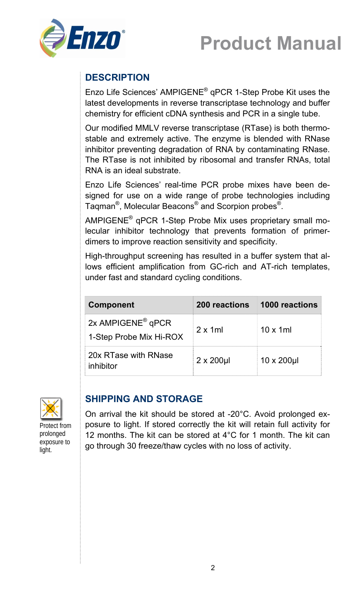



### **DESCRIPTION**

Enzo Life Sciences' AMPIGENE® qPCR 1-Step Probe Kit uses the latest developments in reverse transcriptase technology and buffer chemistry for efficient cDNA synthesis and PCR in a single tube.

Our modified MMLV reverse transcriptase (RTase) is both thermostable and extremely active. The enzyme is blended with RNase inhibitor preventing degradation of RNA by contaminating RNase. The RTase is not inhibited by ribosomal and transfer RNAs, total RNA is an ideal substrate.

Enzo Life Sciences' real-time PCR probe mixes have been designed for use on a wide range of probe technologies including Taqman®, Molecular Beacons® and Scorpion probes®.

AMPIGENE® qPCR 1-Step Probe Mix uses proprietary small molecular inhibitor technology that prevents formation of primerdimers to improve reaction sensitivity and specificity.

High-throughput screening has resulted in a buffer system that allows efficient amplification from GC-rich and AT-rich templates, under fast and standard cycling conditions.

| <b>Component</b>                                         | 200 reactions     | 1000 reactions   |
|----------------------------------------------------------|-------------------|------------------|
| 2x AMPIGENE <sup>®</sup> qPCR<br>1-Step Probe Mix Hi-ROX | $2 \times 1$ ml   | $10 \times 1$ ml |
| 20x RTase with RNase<br>inhibitor                        | $2 \times 200$ µl | 10 x 200µl       |



Protect from prolonged exposure to light.

#### **SHIPPING AND STORAGE**

On arrival the kit should be stored at -20°C. Avoid prolonged exposure to light. If stored correctly the kit will retain full activity for 12 months. The kit can be stored at 4°C for 1 month. The kit can go through 30 freeze/thaw cycles with no loss of activity.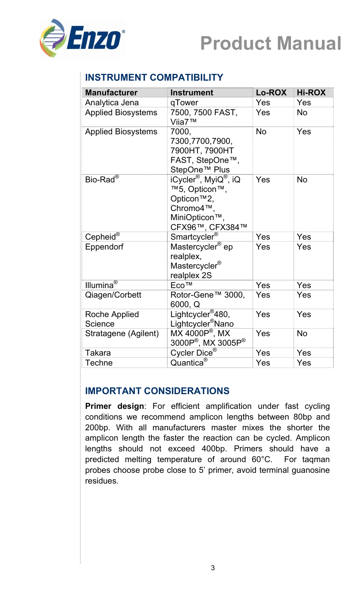



#### **INSTRUMENT COMPATIBILITY**

| <b>Manufacturer</b>       | <b>Instrument</b>                                                                                                                          | Lo-ROX    | <b>Hi-ROX</b> |
|---------------------------|--------------------------------------------------------------------------------------------------------------------------------------------|-----------|---------------|
| Analytica Jena            | qTower                                                                                                                                     | Yes       | Yes           |
| <b>Applied Biosystems</b> | 7500, 7500 FAST,<br>Viia7™                                                                                                                 | Yes       | <b>No</b>     |
| <b>Applied Biosystems</b> | 7000.<br>7300,7700,7900,<br>7900HT, 7900HT<br>FAST, StepOne™,<br>StepOne <sup>™</sup> Plus                                                 | <b>No</b> | Yes           |
| Bio-Rad <sup>®</sup>      | iCycler <sup>®</sup> , MyiQ <sup>®</sup> , iQ<br>™5, Opticon™,<br>Opticon <sup>™</sup> 2,<br>Chromo4™,<br>MiniOpticon™,<br>CFX96™, CFX384™ | Yes       | <b>No</b>     |
| Cepheid®                  | Smartcycler <sup>®</sup>                                                                                                                   | Yes       | Yes           |
| Eppendorf                 | Mastercycler <sup>®</sup> ep<br>realplex,<br>Mastercycler <sup>®</sup><br>realplex 2S                                                      | Yes       | Yes           |
| Illumina <sup>®</sup>     | Eco <sup>™</sup>                                                                                                                           | Yes       | Yes           |
| Qiagen/Corbett            | Rotor-Gene™ 3000,<br>6000, Q                                                                                                               | Yes       | Yes           |
| Roche Applied<br>Science  | Lightcycler <sup>®</sup> 480,<br>Lightcycler <sup>®</sup> Nano                                                                             | Yes       | Yes           |
| Stratagene (Agilent)      | $MX 4000P^{\circledast}$ , MX<br>3000P®, MX 3005P®                                                                                         | Yes       | <b>No</b>     |
| Takara                    | Cycler Dice <sup>®</sup>                                                                                                                   | Yes       | Yes           |
| <b>Techne</b>             | Quantica <sup>®</sup>                                                                                                                      | Yes       | Yes           |

#### **IMPORTANT CONSIDERATIONS**

**Primer design**: For efficient amplification under fast cycling conditions we recommend amplicon lengths between 80bp and 200bp. With all manufacturers master mixes the shorter the amplicon length the faster the reaction can be cycled. Amplicon lengths should not exceed 400bp. Primers should have a predicted melting temperature of around 60°C. For taqman probes choose probe close to 5' primer, avoid terminal guanosine residues.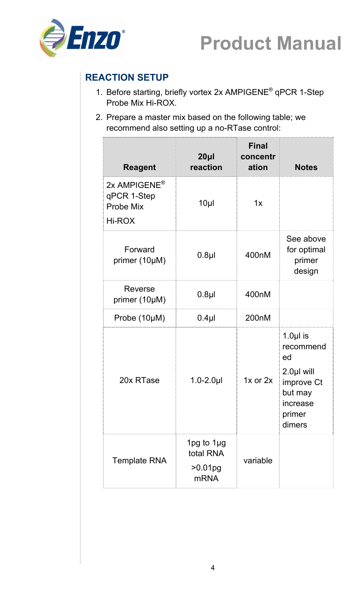



### **REACTION SETUP**

- 1. Before starting, briefly vortex 2x AMPIGENE® qPCR 1-Step Probe Mix Hi-ROX.
- 2. Prepare a master mix based on the following table; we recommend also setting up a no-RTase control:

| <b>Reagent</b>                                                 | 20 <sub>µ</sub><br>reaction                            | <b>Final</b><br>concentr<br>ation | <b>Notes</b>                                                                                         |
|----------------------------------------------------------------|--------------------------------------------------------|-----------------------------------|------------------------------------------------------------------------------------------------------|
| 2x AMPIGENE <sup>®</sup><br>qPCR 1-Step<br>Probe Mix<br>Hi-ROX | $10\mu$                                                | 1x                                |                                                                                                      |
| Forward<br>primer (10µM)                                       | 400nM<br>$0.8$ µl                                      |                                   | See above<br>for optimal<br>primer<br>design                                                         |
| Reverse<br>primer (10µM)                                       | $0.8$ µl                                               | 400nM                             |                                                                                                      |
| Probe (10µM)                                                   | $0.4$ µl                                               | 200nM                             |                                                                                                      |
| 20x RTase                                                      | $1.0 - 2.0$ µl                                         | $1x$ or $2x$                      | 1.0 $µ$ is<br>recommend<br>ed<br>2.0µl will<br>improve Ct<br>but may<br>increase<br>primer<br>dimers |
| <b>Template RNA</b>                                            | 1pg to $1\mu$ g<br>total RNA<br>>0.01pg<br><b>mRNA</b> | variable                          |                                                                                                      |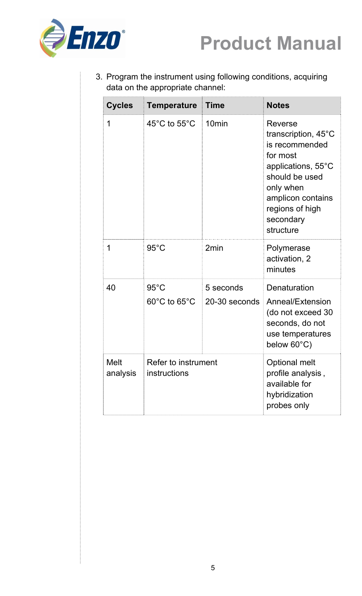



3. Program the instrument using following conditions, acquiring data on the appropriate channel:

| <b>Cycles</b>           | <b>Temperature</b>                                 | <b>Time</b>                | <b>Notes</b>                                                                                                                                                                                  |
|-------------------------|----------------------------------------------------|----------------------------|-----------------------------------------------------------------------------------------------------------------------------------------------------------------------------------------------|
| 1                       | 45 $\mathrm{^{\circ}C}$ to 55 $\mathrm{^{\circ}C}$ | 10 <sub>min</sub>          | Reverse<br>transcription, $45^{\circ}$ C<br>is recommended<br>for most<br>applications, 55°C<br>should be used<br>only when<br>amplicon contains<br>regions of high<br>secondary<br>structure |
| 1                       | $95^{\circ}$ C                                     | 2 <sub>min</sub>           | Polymerase<br>activation, 2<br>minutes                                                                                                                                                        |
| 40                      | $95^{\circ}$ C<br>$60^{\circ}$ C to $65^{\circ}$ C | 5 seconds<br>20-30 seconds | Denaturation<br>Anneal/Extension<br>(do not exceed 30<br>seconds, do not<br>use temperatures<br>below 60°C)                                                                                   |
| <b>Melt</b><br>analysis | Refer to instrument<br>instructions                |                            | Optional melt<br>profile analysis,<br>available for<br>hybridization<br>probes only                                                                                                           |